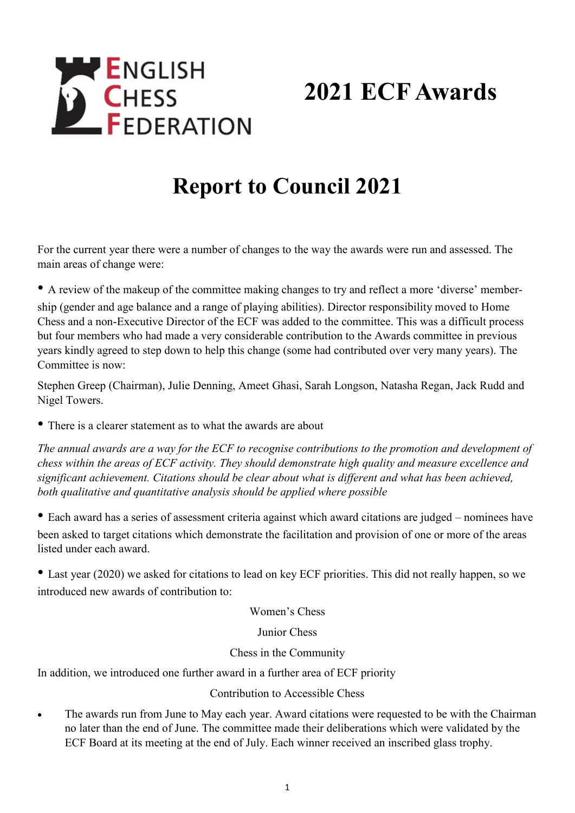## **ENGLISH CHESS**<br>**FEDERATION 2021 ECF Awards**

## **Report to Council 2021**

For the current year there were a number of changes to the way the awards were run and assessed. The main areas of change were:

• A review of the makeup of the committee making changes to try and reflect a more 'diverse' membership (gender and age balance and a range of playing abilities). Director responsibility moved to Home Chess and a non-Executive Director of the ECF was added to the committee. This was a difficult process but four members who had made a very considerable contribution to the Awards committee in previous years kindly agreed to step down to help this change (some had contributed over very many years). The Committee is now:

Stephen Greep (Chairman), Julie Denning, Ameet Ghasi, Sarah Longson, Natasha Regan, Jack Rudd and Nigel Towers.

• There is a clearer statement as to what the awards are about

*The annual awards are a way for the ECF to recognise contributions to the promotion and development of chess within the areas of ECF activity. They should demonstrate high quality and measure excellence and significant achievement. Citations should be clear about what is different and what has been achieved, both qualitative and quantitative analysis should be applied where possible*

• Each award has a series of assessment criteria against which award citations are judged – nominees have been asked to target citations which demonstrate the facilitation and provision of one or more of the areas listed under each award.

• Last year (2020) we asked for citations to lead on key ECF priorities. This did not really happen, so we introduced new awards of contribution to:

Women's Chess

Junior Chess

## Chess in the Community

In addition, we introduced one further award in a further area of ECF priority

## Contribution to Accessible Chess

• The awards run from June to May each year. Award citations were requested to be with the Chairman no later than the end of June. The committee made their deliberations which were validated by the ECF Board at its meeting at the end of July. Each winner received an inscribed glass trophy.